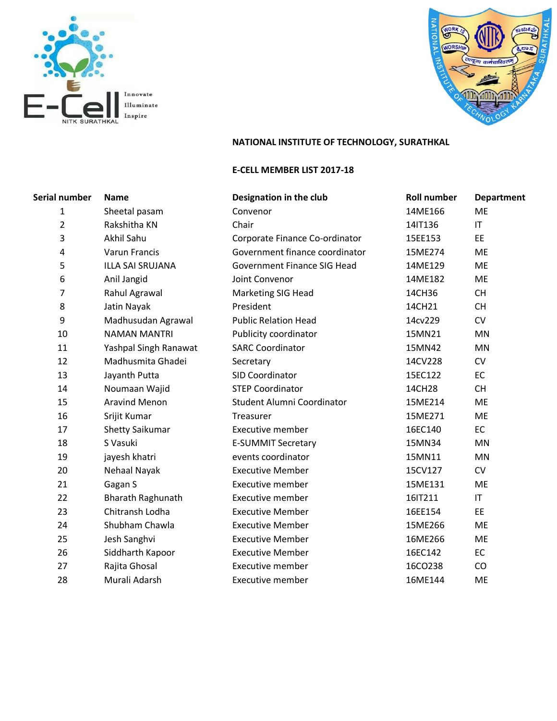



# **NATIONAL INSTITUTE OF TECHNOLOGY, SURATHKAL**

#### **E-CELL MEMBER LIST 2017-18**

| Serial number  | <b>Name</b>              | Designation in the club            | <b>Roll number</b> | Department             |
|----------------|--------------------------|------------------------------------|--------------------|------------------------|
| $\mathbf{1}$   | Sheetal pasam            | Convenor                           | 14ME166            | <b>ME</b>              |
| $\overline{2}$ | Rakshitha KN             | Chair                              | 14IT136            | IT                     |
| 3              | Akhil Sahu               | Corporate Finance Co-ordinator     | 15EE153            | <b>EE</b>              |
| 4              | Varun Francis            | Government finance coordinator     | 15ME274            | <b>ME</b>              |
| 5              | <b>ILLA SAI SRUJANA</b>  | <b>Government Finance SIG Head</b> | 14ME129            | ME                     |
| 6              | Anil Jangid              | Joint Convenor                     | 14ME182            | ME                     |
| $\overline{7}$ | Rahul Agrawal            | <b>Marketing SIG Head</b>          | 14CH36             | <b>CH</b>              |
| 8              | Jatin Nayak              | President                          | 14CH21             | <b>CH</b>              |
| 9              | Madhusudan Agrawal       | <b>Public Relation Head</b>        | 14cv229            | <b>CV</b>              |
| 10             | <b>NAMAN MANTRI</b>      | Publicity coordinator              | 15MN21             | MN                     |
| 11             | Yashpal Singh Ranawat    | <b>SARC Coordinator</b>            | 15MN42             | <b>MN</b>              |
| 12             | Madhusmita Ghadei        | Secretary                          | 14CV228            | CV                     |
| 13             | Jayanth Putta            | SID Coordinator                    | 15EC122            | EC                     |
| 14             | Noumaan Wajid            | <b>STEP Coordinator</b>            | 14CH28             | <b>CH</b>              |
| 15             | <b>Aravind Menon</b>     | Student Alumni Coordinator         | 15ME214            | <b>ME</b>              |
| 16             | Srijit Kumar             | Treasurer                          | 15ME271            | <b>ME</b>              |
| 17             | <b>Shetty Saikumar</b>   | <b>Executive member</b>            | 16EC140            | <b>EC</b>              |
| 18             | S Vasuki                 | <b>E-SUMMIT Secretary</b>          | 15MN34             | <b>MN</b>              |
| 19             | jayesh khatri            | events coordinator                 | 15MN11             | MN                     |
| 20             | Nehaal Nayak             | <b>Executive Member</b>            | 15CV127            | CV                     |
| 21             | Gagan S                  | <b>Executive member</b>            | 15ME131            | <b>ME</b>              |
| 22             | <b>Bharath Raghunath</b> | <b>Executive member</b>            | 16IT211            | $\mathsf{I}\mathsf{T}$ |
| 23             | Chitransh Lodha          | <b>Executive Member</b>            | 16EE154            | EE                     |
| 24             | Shubham Chawla           | <b>Executive Member</b>            | 15ME266            | <b>ME</b>              |
| 25             | Jesh Sanghvi             | <b>Executive Member</b>            | 16ME266            | <b>ME</b>              |
| 26             | Siddharth Kapoor         | <b>Executive Member</b>            | 16EC142            | EC                     |
| 27             | Rajita Ghosal            | <b>Executive member</b>            | 16CO238            | CO                     |
| 28             | Murali Adarsh            | <b>Executive member</b>            | 16ME144            | ME                     |